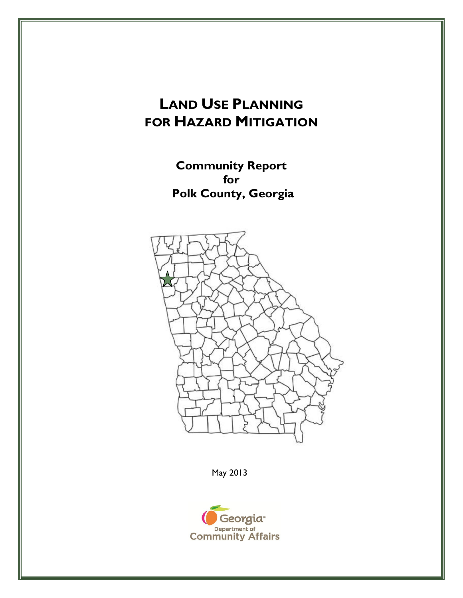## **LAND USE PLANNING FOR HAZARD MITIGATION**

**Community Report for Polk County, Georgia** 



May 2013

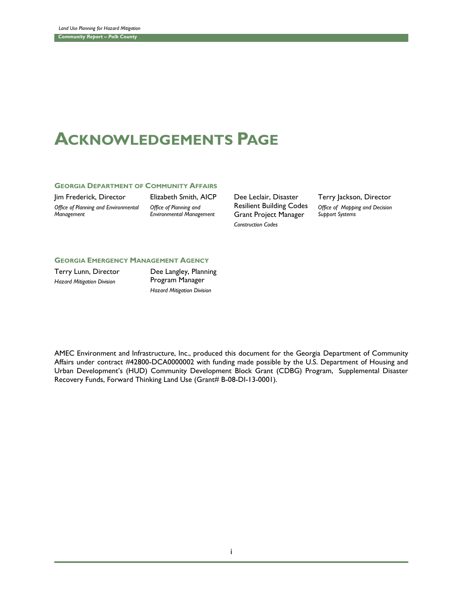# **ACKNOWLEDGEMENTS PAGE**

#### **GEORGIA DEPARTMENT OF COMMUNITY AFFAIRS**

Jim Frederick, Director *Office of Planning and Environmental Management*

Elizabeth Smith, AICP *Office of Planning and Environmental Management*

Dee Leclair, Disaster Resilient Building Codes Grant Project Manager *Construction Codes*

Terry Jackson, Director *Office of Mapping and Decision Support Systems*

#### **GEORGIA EMERGENCY MANAGEMENT AGENCY**

Terry Lunn, Director *Hazard Mitigation Division*

Dee Langley, Planning Program Manager *Hazard Mitigation Division*

AMEC Environment and Infrastructure, Inc., produced this document for the Georgia Department of Community Affairs under contract #42800-DCA0000002 with funding made possible by the U.S. Department of Housing and Urban Development's (HUD) Community Development Block Grant (CDBG) Program, Supplemental Disaster Recovery Funds, Forward Thinking Land Use (Grant# B-08-DI-13-0001).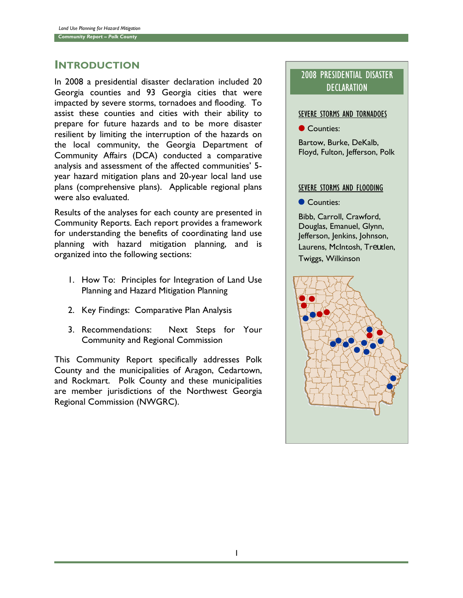## INTRODUCTION

In 2008 a presidential disaster declaration included 20 Georgia counties and 93 Georgia cities that were impacted by severe storms, tornadoes and flooding. To assist these counties and cities with their ability to prepare for future hazards and to be more disaster resilient by limiting the interruption of the hazards on the local community, the Georgia Department of Community Affairs (DCA) conducted a comparative analysis and assessment of the affected communities' 5 year hazard mitigation plans and 20-year local land use plans (comprehensive plans). Applicable regional plans were also evaluated.

Results of the analyses for each county are presented in Community Reports. Each report provides a framework for understanding the benefits of coordinating land use planning with hazard mitigation planning, and is organized into the following sections:

- 1. How To: Principles for Integration of Land Use Planning and Hazard Mitigation Planning
- 2. Key Findings: Comparative Plan Analysis
- 3. Recommendations: Next Steps for Your Community and Regional Commission

This Community Report specifically addresses Polk County and the municipalities of Aragon, Cedartown, and Rockmart. Polk County and these municipalities are member jurisdictions of the Northwest Georgia Regional Commission (NWGRC).

## 2008 PRESIDENTIAL DISASTER **DECLARATION**

#### SEVERE STORMS AND TORNADOES

Counties:

Bartow, Burke, DeKalb, Floyd, Fulton, Jefferson, Polk

#### SEVERE STORMS AND FLOODING

Counties:

Bibb, Carroll, Crawford, Douglas, Emanuel, Glynn, Jefferson, Jenkins, Johnson, Laurens, McIntosh, Treutlen, Twiggs, Wilkinson

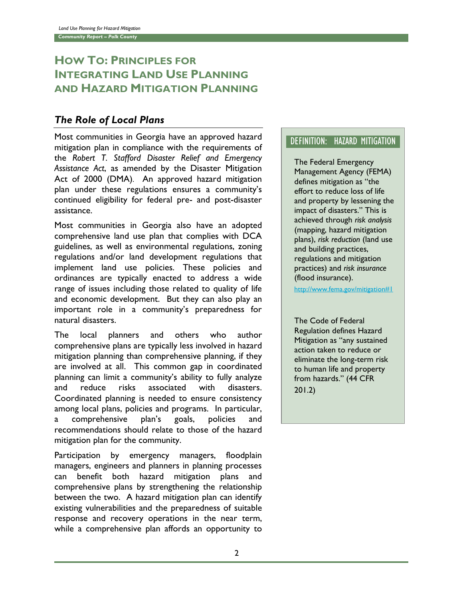## **HOW TO: PRINCIPLES FOR INTEGRATING LAND USE PLANNING AND HAZARD MITIGATION PLANNING**

## *The Role of Local Plans*

Most communities in Georgia have an approved hazard mitigation plan in compliance with the requirements of the *Robert T. Stafford Disaster Relief and Emergency Assistance Act*, as amended by the Disaster Mitigation Act of 2000 (DMA). An approved hazard mitigation plan under these regulations ensures a community's continued eligibility for federal pre- and post-disaster assistance.

Most communities in Georgia also have an adopted comprehensive land use plan that complies with DCA guidelines, as well as environmental regulations, zoning regulations and/or land development regulations that implement land use policies. These policies and ordinances are typically enacted to address a wide range of issues including those related to quality of life and economic development. But they can also play an important role in a community's preparedness for natural disasters.

The local planners and others who author comprehensive plans are typically less involved in hazard mitigation planning than comprehensive planning, if they are involved at all. This common gap in coordinated planning can limit a community's ability to fully analyze and reduce risks associated with disasters. Coordinated planning is needed to ensure consistency among local plans, policies and programs. In particular, a comprehensive plan's goals, policies and recommendations should relate to those of the hazard mitigation plan for the community.

Participation by emergency managers, floodplain managers, engineers and planners in planning processes can benefit both hazard mitigation plans and comprehensive plans by strengthening the relationship between the two. A hazard mitigation plan can identify existing vulnerabilities and the preparedness of suitable response and recovery operations in the near term, while a comprehensive plan affords an opportunity to

### DEFINITION: HAZARD MITIGATION

The Federal Emergency Management Agency (FEMA) defines mitigation as "the effort to reduce loss of life and property by lessening the impact of disasters." This is achieved through *risk analysis*  (mapping, hazard mitigation plans), *risk reduction* (land use and building practices, regulations and mitigation practices) and *risk insurance*  (flood insurance).

<http://www.fema.gov/mitigation#1>

The Code of Federal Regulation defines Hazard Mitigation as "any sustained action taken to reduce or eliminate the long-term risk to human life and property from hazards." (44 CFR 201.2)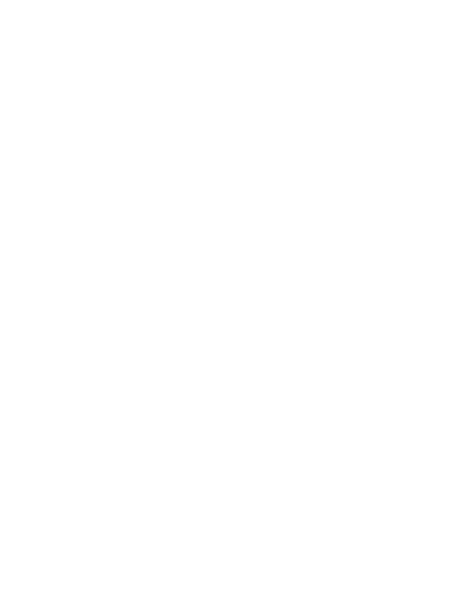| HW             | $O:P$ $\blacksquare$ |              |       |    |
|----------------|----------------------|--------------|-------|----|
| $\mathbb{R}^n$ |                      | $\mathbb{Z}$ | US PA |    |
| 酎              | 险                    | M®           |       | PN |

## **The Role of Local Plans**

Most communities in Georgia have an approved hazard mitigation plan in compliance with the requirements of the Robert T. Stafford Disaster Relief and Emergency Assistance Act, as amended by the Disaster Mitigation Act of 2000 (DMA). An approved hazard mitigation plan under these regulations ensures a community's continued eligibility for federal pre- and post-disaster assistance.

Most communities in Georgia also have an adopted comprehensive land use plan that complies with DCA guidelines, as well as environmental regulations, zoning regulations and/or land development regulations that implement land use policies. These policies and ordinances are typically enacted to address a wide range of issues including those related to quality of life and economic development. But they can also play an important role in a community's preparedness for natural disasters.

The local planners and others who author comprehensive plans are typically less involved in hazard mitigation planning than comprehensive planning, if they are involved at all. This common gap in coordinated planning can limit a community's ability to fully analyze and reduce risks associated with disasters. Coordinated planning is needed to ensure consistency among local plans, policies and programs. In particular, comprehensive plan's goals, policies and  $\mathbf{a}$ recommendations should relate to those of the hazard mitigation plan for the community.

Participation by emergency managers, floodplain managers, engineers and planners in planning processes can benefit both hazard mitigation plans and comprehensive plans by strengthening the relationship between the two. A hazard mitigation plan can identify existing vulnerabilities and the preparedness of suitable response and recovery operations in the near term, while a comprehensive plan affords an opportunity to

## DEFINITION: HWAZIGRAD

The Federal Emergency Management Agency (FEMA) defines mitigation as "the effort to reduce loss of life and property by lessening the impact of disasters." This is achieved through risk analysis (mapping, hazard mitigation plans), risk reduction (land use and building practices, regulations and mitigation practices) and risk insurance (flood insurance).

http://www.fema.gov/mitigation#1

The Code of Federal Regulation defines Hazard Mitigation as "any sustained action taken to reduce or eliminate the long-term risk to human life and property from hazards." (44 CFR  $201.2)$